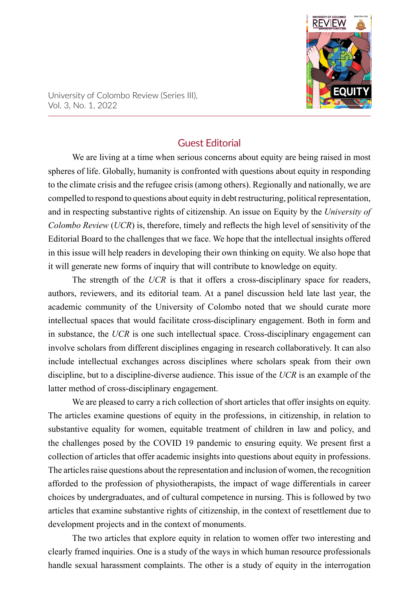

University of Colombo Review (Series III), Vol. 3, No. 1, 2022

## Guest Editorial

We are living at a time when serious concerns about equity are being raised in most spheres of life. Globally, humanity is confronted with questions about equity in responding to the climate crisis and the refugee crisis (among others). Regionally and nationally, we are compelled to respond to questions about equity in debt restructuring, political representation, and in respecting substantive rights of citizenship. An issue on Equity by the *University of Colombo Review* (*UCR*) is, therefore, timely and reflects the high level of sensitivity of the Editorial Board to the challenges that we face. We hope that the intellectual insights offered in this issue will help readers in developing their own thinking on equity. We also hope that it will generate new forms of inquiry that will contribute to knowledge on equity.

The strength of the *UCR* is that it offers a cross-disciplinary space for readers, authors, reviewers, and its editorial team. At a panel discussion held late last year, the academic community of the University of Colombo noted that we should curate more intellectual spaces that would facilitate cross-disciplinary engagement. Both in form and in substance, the *UCR* is one such intellectual space. Cross-disciplinary engagement can involve scholars from different disciplines engaging in research collaboratively. It can also include intellectual exchanges across disciplines where scholars speak from their own discipline, but to a discipline-diverse audience. This issue of the *UCR* is an example of the latter method of cross-disciplinary engagement.

We are pleased to carry a rich collection of short articles that offer insights on equity. The articles examine questions of equity in the professions, in citizenship, in relation to substantive equality for women, equitable treatment of children in law and policy, and the challenges posed by the COVID 19 pandemic to ensuring equity. We present first a collection of articles that offer academic insights into questions about equity in professions. The articles raise questions about the representation and inclusion of women, the recognition afforded to the profession of physiotherapists, the impact of wage differentials in career choices by undergraduates, and of cultural competence in nursing. This is followed by two articles that examine substantive rights of citizenship, in the context of resettlement due to development projects and in the context of monuments.

The two articles that explore equity in relation to women offer two interesting and clearly framed inquiries. One is a study of the ways in which human resource professionals handle sexual harassment complaints. The other is a study of equity in the interrogation